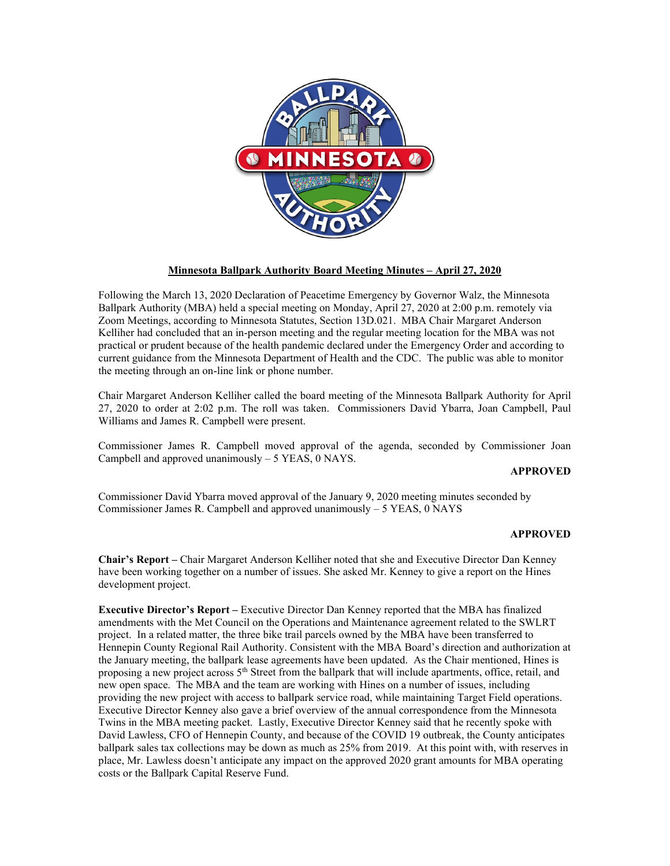

# **Minnesota Ballpark Authority Board Meeting Minutes – April 27, 2020**

Following the March 13, 2020 Declaration of Peacetime Emergency by Governor Walz, the Minnesota Ballpark Authority (MBA) held a special meeting on Monday, April 27, 2020 at 2:00 p.m. remotely via Zoom Meetings, according to Minnesota Statutes, Section 13D.021. MBA Chair Margaret Anderson Kelliher had concluded that an in-person meeting and the regular meeting location for the MBA was not practical or prudent because of the health pandemic declared under the Emergency Order and according to current guidance from the Minnesota Department of Health and the CDC. The public was able to monitor the meeting through an on-line link or phone number.

Chair Margaret Anderson Kelliher called the board meeting of the Minnesota Ballpark Authority for April 27, 2020 to order at 2:02 p.m. The roll was taken. Commissioners David Ybarra, Joan Campbell, Paul Williams and James R. Campbell were present.

Commissioner James R. Campbell moved approval of the agenda, seconded by Commissioner Joan Campbell and approved unanimously  $-5$  YEAS, 0 NAYS.

## **APPROVED**

Commissioner David Ybarra moved approval of the January 9, 2020 meeting minutes seconded by Commissioner James R. Campbell and approved unanimously – 5 YEAS, 0 NAYS

## **APPROVED**

**Chair's Report –** Chair Margaret Anderson Kelliher noted that she and Executive Director Dan Kenney have been working together on a number of issues. She asked Mr. Kenney to give a report on the Hines development project.

**Executive Director's Report –** Executive Director Dan Kenney reported that the MBA has finalized amendments with the Met Council on the Operations and Maintenance agreement related to the SWLRT project. In a related matter, the three bike trail parcels owned by the MBA have been transferred to Hennepin County Regional Rail Authority. Consistent with the MBA Board's direction and authorization at the January meeting, the ballpark lease agreements have been updated. As the Chair mentioned, Hines is proposing a new project across  $5<sup>th</sup>$  Street from the ballpark that will include apartments, office, retail, and new open space. The MBA and the team are working with Hines on a number of issues, including providing the new project with access to ballpark service road, while maintaining Target Field operations. Executive Director Kenney also gave a brief overview of the annual correspondence from the Minnesota Twins in the MBA meeting packet. Lastly, Executive Director Kenney said that he recently spoke with David Lawless, CFO of Hennepin County, and because of the COVID 19 outbreak, the County anticipates ballpark sales tax collections may be down as much as 25% from 2019. At this point with, with reserves in place, Mr. Lawless doesn't anticipate any impact on the approved 2020 grant amounts for MBA operating costs or the Ballpark Capital Reserve Fund.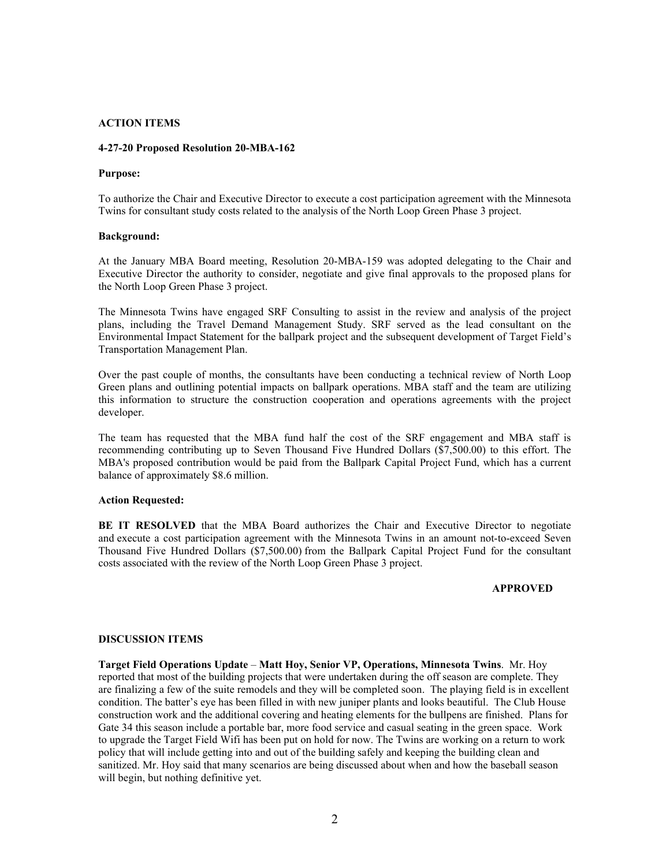## **ACTION ITEMS**

#### **4-27-20 Proposed Resolution 20-MBA-162**

#### **Purpose:**

To authorize the Chair and Executive Director to execute a cost participation agreement with the Minnesota Twins for consultant study costs related to the analysis of the North Loop Green Phase 3 project.

#### **Background:**

At the January MBA Board meeting, Resolution 20-MBA-159 was adopted delegating to the Chair and Executive Director the authority to consider, negotiate and give final approvals to the proposed plans for the North Loop Green Phase 3 project.

The Minnesota Twins have engaged SRF Consulting to assist in the review and analysis of the project plans, including the Travel Demand Management Study. SRF served as the lead consultant on the Environmental Impact Statement for the ballpark project and the subsequent development of Target Field's Transportation Management Plan.

Over the past couple of months, the consultants have been conducting a technical review of North Loop Green plans and outlining potential impacts on ballpark operations. MBA staff and the team are utilizing this information to structure the construction cooperation and operations agreements with the project developer.

The team has requested that the MBA fund half the cost of the SRF engagement and MBA staff is recommending contributing up to Seven Thousand Five Hundred Dollars (\$7,500.00) to this effort. The MBA's proposed contribution would be paid from the Ballpark Capital Project Fund, which has a current balance of approximately \$8.6 million.

#### **Action Requested:**

**BE IT RESOLVED** that the MBA Board authorizes the Chair and Executive Director to negotiate and execute a cost participation agreement with the Minnesota Twins in an amount not-to-exceed Seven Thousand Five Hundred Dollars (\$7,500.00) from the Ballpark Capital Project Fund for the consultant costs associated with the review of the North Loop Green Phase 3 project.

## **APPROVED**

#### **DISCUSSION ITEMS**

**Target Field Operations Update** – **Matt Hoy, Senior VP, Operations, Minnesota Twins**. Mr. Hoy reported that most of the building projects that were undertaken during the off season are complete. They are finalizing a few of the suite remodels and they will be completed soon. The playing field is in excellent condition. The batter's eye has been filled in with new juniper plants and looks beautiful. The Club House construction work and the additional covering and heating elements for the bullpens are finished. Plans for Gate 34 this season include a portable bar, more food service and casual seating in the green space. Work to upgrade the Target Field Wifi has been put on hold for now. The Twins are working on a return to work policy that will include getting into and out of the building safely and keeping the building clean and sanitized. Mr. Hoy said that many scenarios are being discussed about when and how the baseball season will begin, but nothing definitive yet.